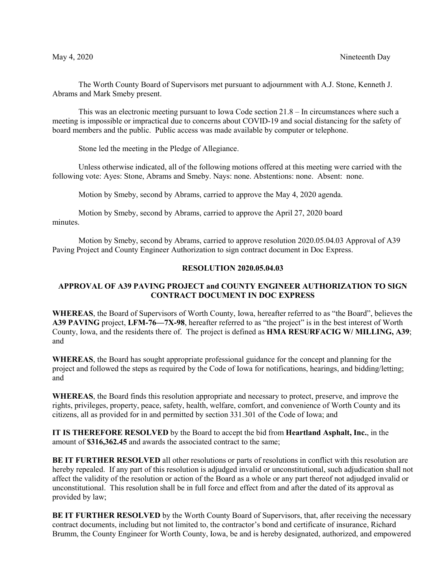The Worth County Board of Supervisors met pursuant to adjournment with A.J. Stone, Kenneth J. Abrams and Mark Smeby present.

This was an electronic meeting pursuant to Iowa Code section 21.8 – In circumstances where such a meeting is impossible or impractical due to concerns about COVID-19 and social distancing for the safety of board members and the public. Public access was made available by computer or telephone.

Stone led the meeting in the Pledge of Allegiance.

Unless otherwise indicated, all of the following motions offered at this meeting were carried with the following vote: Ayes: Stone, Abrams and Smeby. Nays: none. Abstentions: none. Absent: none.

Motion by Smeby, second by Abrams, carried to approve the May 4, 2020 agenda.

Motion by Smeby, second by Abrams, carried to approve the April 27, 2020 board minutes.

Motion by Smeby, second by Abrams, carried to approve resolution 2020.05.04.03 Approval of A39 Paving Project and County Engineer Authorization to sign contract document in Doc Express.

### **RESOLUTION 2020.05.04.03**

# **APPROVAL OF A39 PAVING PROJECT and COUNTY ENGINEER AUTHORIZATION TO SIGN CONTRACT DOCUMENT IN DOC EXPRESS**

**WHEREAS**, the Board of Supervisors of Worth County, Iowa, hereafter referred to as "the Board", believes the **A39 PAVING** project, **LFM-76—7X-98**, hereafter referred to as "the project" is in the best interest of Worth County, Iowa, and the residents there of. The project is defined as **HMA RESURFACIG W/ MILLING, A39**; and

**WHEREAS**, the Board has sought appropriate professional guidance for the concept and planning for the project and followed the steps as required by the Code of Iowa for notifications, hearings, and bidding/letting; and

**WHEREAS**, the Board finds this resolution appropriate and necessary to protect, preserve, and improve the rights, privileges, property, peace, safety, health, welfare, comfort, and convenience of Worth County and its citizens, all as provided for in and permitted by section 331.301 of the Code of Iowa; and

**IT IS THEREFORE RESOLVED** by the Board to accept the bid from **Heartland Asphalt, Inc.**, in the amount of **\$316,362.45** and awards the associated contract to the same;

**BE IT FURTHER RESOLVED** all other resolutions or parts of resolutions in conflict with this resolution are hereby repealed. If any part of this resolution is adjudged invalid or unconstitutional, such adjudication shall not affect the validity of the resolution or action of the Board as a whole or any part thereof not adjudged invalid or unconstitutional. This resolution shall be in full force and effect from and after the dated of its approval as provided by law;

**BE IT FURTHER RESOLVED** by the Worth County Board of Supervisors, that, after receiving the necessary contract documents, including but not limited to, the contractor's bond and certificate of insurance, Richard Brumm, the County Engineer for Worth County, Iowa, be and is hereby designated, authorized, and empowered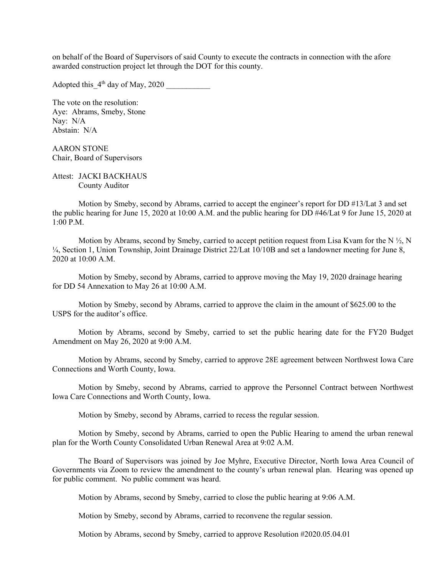on behalf of the Board of Supervisors of said County to execute the contracts in connection with the afore awarded construction project let through the DOT for this county.

Adopted this  $4<sup>th</sup>$  day of May, 2020

The vote on the resolution: Aye: Abrams, Smeby, Stone Nay: N/A Abstain: N/A

AARON STONE Chair, Board of Supervisors

Attest: JACKI BACKHAUS County Auditor

Motion by Smeby, second by Abrams, carried to accept the engineer's report for DD #13/Lat 3 and set the public hearing for June 15, 2020 at 10:00 A.M. and the public hearing for DD #46/Lat 9 for June 15, 2020 at 1:00 P.M.

Motion by Abrams, second by Smeby, carried to accept petition request from Lisa Kvam for the N  $\frac{1}{2}$ , N <sup>1/4</sup>, Section 1, Union Township, Joint Drainage District 22/Lat 10/10B and set a landowner meeting for June 8, 2020 at 10:00 A.M.

Motion by Smeby, second by Abrams, carried to approve moving the May 19, 2020 drainage hearing for DD 54 Annexation to May 26 at 10:00 A.M.

Motion by Smeby, second by Abrams, carried to approve the claim in the amount of \$625.00 to the USPS for the auditor's office.

Motion by Abrams, second by Smeby, carried to set the public hearing date for the FY20 Budget Amendment on May 26, 2020 at 9:00 A.M.

Motion by Abrams, second by Smeby, carried to approve 28E agreement between Northwest Iowa Care Connections and Worth County, Iowa.

Motion by Smeby, second by Abrams, carried to approve the Personnel Contract between Northwest Iowa Care Connections and Worth County, Iowa.

Motion by Smeby, second by Abrams, carried to recess the regular session.

Motion by Smeby, second by Abrams, carried to open the Public Hearing to amend the urban renewal plan for the Worth County Consolidated Urban Renewal Area at 9:02 A.M.

The Board of Supervisors was joined by Joe Myhre, Executive Director, North Iowa Area Council of Governments via Zoom to review the amendment to the county's urban renewal plan. Hearing was opened up for public comment. No public comment was heard.

Motion by Abrams, second by Smeby, carried to close the public hearing at 9:06 A.M.

Motion by Smeby, second by Abrams, carried to reconvene the regular session.

Motion by Abrams, second by Smeby, carried to approve Resolution #2020.05.04.01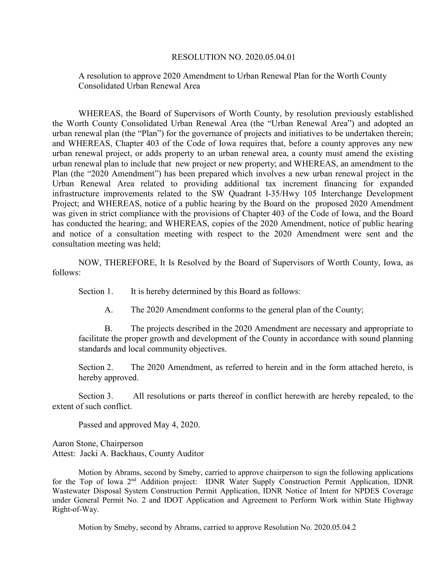#### RESOLUTION NO. 2020.05.04.01

A resolution to approve 2020 Amendment to Urban Renewal Plan for the Worth County Consolidated Urban Renewal Area

WHEREAS, the Board of Supervisors of Worth County, by resolution previously established the Worth County Consolidated Urban Renewal Area (the "Urban Renewal Area") and adopted an urban renewal plan (the "Plan") for the governance of projects and initiatives to be undertaken therein; and WHEREAS, Chapter 403 of the Code of Iowa requires that, before a county approves any new urban renewal project, or adds property to an urban renewal area, a county must amend the existing urban renewal plan to include that new project or new property; and WHEREAS, an amendment to the Plan (the "2020 Amendment") has been prepared which involves a new urban renewal project in the Urban Renewal Area related to providing additional tax increment financing for expanded infrastructure improvements related to the SW Quadrant I-35/Hwy 105 Interchange Development Project; and WHEREAS, notice of a public hearing by the Board on the proposed 2020 Amendment was given in strict compliance with the provisions of Chapter 403 of the Code of Iowa, and the Board has conducted the hearing; and WHEREAS, copies of the 2020 Amendment, notice of public hearing and notice of a consultation meeting with respect to the 2020 Amendment were sent and the consultation meeting was held;

NOW, THEREFORE, It Is Resolved by the Board of Supervisors of Worth County, Iowa, as follows:

Section 1. It is hereby determined by this Board as follows:

A. The 2020 Amendment conforms to the general plan of the County;

B. The projects described in the 2020 Amendment are necessary and appropriate to facilitate the proper growth and development of the County in accordance with sound planning standards and local community objectives.

Section 2. The 2020 Amendment, as referred to herein and in the form attached hereto, is hereby approved.

Section 3. All resolutions or parts thereof in conflict herewith are hereby repealed, to the extent of such conflict.

Passed and approved May 4, 2020.

Aaron Stone, Chairperson Attest: Jacki A. Backhaus, County Auditor

Motion by Abrams, second by Smeby, carried to approve chairperson to sign the following applications for the Top of Iowa 2<sup>nd</sup> Addition project: IDNR Water Supply Construction Permit Application, IDNR Wastewater Disposal System Construction Permit Application, IDNR Notice of Intent for NPDES Coverage under General Permit No. 2 and IDOT Application and Agreement to Perform Work within State Highway Right-of-Way.

Motion by Smeby, second by Abrams, carried to approve Resolution No. 2020.05.04.2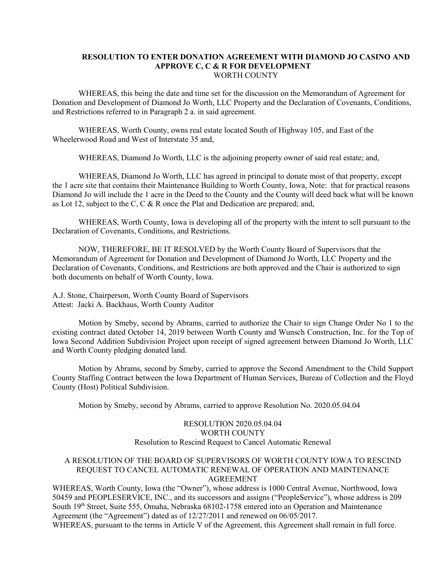### **RESOLUTION TO ENTER DONATION AGREEMENT WITH DIAMOND JO CASINO AND APPROVE C, C & R FOR DEVELOPMENT** WORTH COUNTY

WHEREAS, this being the date and time set for the discussion on the Memorandum of Agreement for Donation and Development of Diamond Jo Worth, LLC Property and the Declaration of Covenants, Conditions, and Restrictions referred to in Paragraph 2 a. in said agreement.

WHEREAS, Worth County, owns real estate located South of Highway 105, and East of the Wheelerwood Road and West of Interstate 35 and,

WHEREAS, Diamond Jo Worth, LLC is the adjoining property owner of said real estate; and,

WHEREAS, Diamond Jo Worth, LLC has agreed in principal to donate most of that property, except the 1 acre site that contains their Maintenance Building to Worth County, Iowa, Note: that for practical reasons Diamond Jo will include the 1 acre in the Deed to the County and the County will deed back what will be known as Lot 12, subject to the C, C & R once the Plat and Dedication are prepared; and,

WHEREAS, Worth County, Iowa is developing all of the property with the intent to sell pursuant to the Declaration of Covenants, Conditions, and Restrictions.

NOW, THEREFORE, BE IT RESOLVED by the Worth County Board of Supervisors that the Memorandum of Agreement for Donation and Development of Diamond Jo Worth, LLC Property and the Declaration of Covenants, Conditions, and Restrictions are both approved and the Chair is authorized to sign both documents on behalf of Worth County, Iowa.

A.J. Stone, Chairperson, Worth County Board of Supervisors Attest: Jacki A. Backhaus, Worth County Auditor

Motion by Smeby, second by Abrams, carried to authorize the Chair to sign Change Order No 1 to the existing contract dated October 14, 2019 between Worth County and Wunsch Construction, Inc. for the Top of Iowa Second Addition Subdivision Project upon receipt of signed agreement between Diamond Jo Worth, LLC and Worth County pledging donated land.

Motion by Abrams, second by Smeby, carried to approve the Second Amendment to the Child Support County Staffing Contract between the Iowa Department of Human Services, Bureau of Collection and the Floyd County (Host) Political Subdivision.

Motion by Smeby, second by Abrams, carried to approve Resolution No. 2020.05.04.04

## RESOLUTION 2020.05.04.04 WORTH COUNTY Resolution to Rescind Request to Cancel Automatic Renewal

### A RESOLUTION OF THE BOARD OF SUPERVISORS OF WORTH COUNTY IOWA TO RESCIND REQUEST TO CANCEL AUTOMATIC RENEWAL OF OPERATION AND MAINTENANCE AGREEMENT

WHEREAS, Worth County, Iowa (the "Owner"), whose address is 1000 Central Avenue, Northwood, Iowa 50459 and PEOPLESERVICE, INC., and its successors and assigns ("PeopleService"), whose address is 209 South 19th Street, Suite 555, Omaha, Nebraska 68102-1758 entered into an Operation and Maintenance Agreement (the "Agreement") dated as of 12/27/2011 and renewed on 06/05/2017. WHEREAS, pursuant to the terms in Article V of the Agreement, this Agreement shall remain in full force.